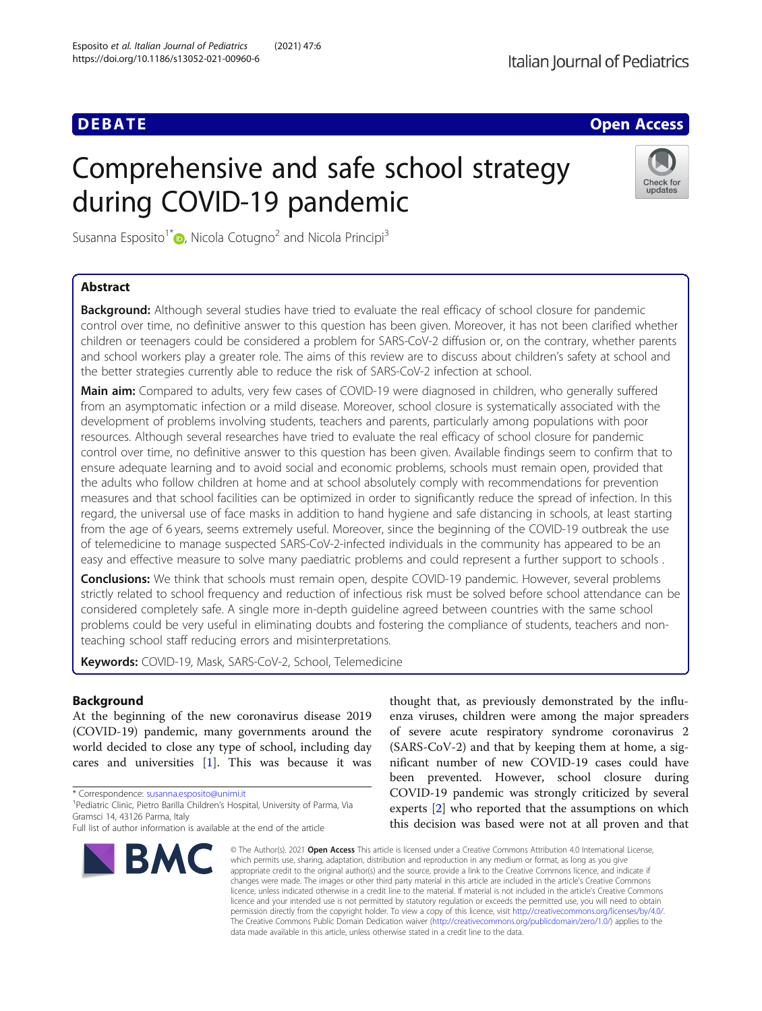## **DEBATE CONSERVATION**

# Comprehensive and safe school strategy during COVID-19 pandemic



Susanna Esposito<sup>1</sup><sup>\*</sup> $\bullet$ , Nicola Cotugno<sup>2</sup> and Nicola Principi<sup>3</sup>

## Abstract

**Background:** Although several studies have tried to evaluate the real efficacy of school closure for pandemic control over time, no definitive answer to this question has been given. Moreover, it has not been clarified whether children or teenagers could be considered a problem for SARS-CoV-2 diffusion or, on the contrary, whether parents and school workers play a greater role. The aims of this review are to discuss about children's safety at school and the better strategies currently able to reduce the risk of SARS-CoV-2 infection at school.

Main aim: Compared to adults, very few cases of COVID-19 were diagnosed in children, who generally suffered from an asymptomatic infection or a mild disease. Moreover, school closure is systematically associated with the development of problems involving students, teachers and parents, particularly among populations with poor resources. Although several researches have tried to evaluate the real efficacy of school closure for pandemic control over time, no definitive answer to this question has been given. Available findings seem to confirm that to ensure adequate learning and to avoid social and economic problems, schools must remain open, provided that the adults who follow children at home and at school absolutely comply with recommendations for prevention measures and that school facilities can be optimized in order to significantly reduce the spread of infection. In this regard, the universal use of face masks in addition to hand hygiene and safe distancing in schools, at least starting from the age of 6 years, seems extremely useful. Moreover, since the beginning of the COVID-19 outbreak the use of telemedicine to manage suspected SARS-CoV-2-infected individuals in the community has appeared to be an easy and effective measure to solve many paediatric problems and could represent a further support to schools .

**Conclusions:** We think that schools must remain open, despite COVID-19 pandemic. However, several problems strictly related to school frequency and reduction of infectious risk must be solved before school attendance can be considered completely safe. A single more in-depth guideline agreed between countries with the same school problems could be very useful in eliminating doubts and fostering the compliance of students, teachers and nonteaching school staff reducing errors and misinterpretations.

Keywords: COVID-19, Mask, SARS-CoV-2, School, Telemedicine

## Background

At the beginning of the new coronavirus disease 2019 (COVID-19) pandemic, many governments around the world decided to close any type of school, including day cares and universities [[1](#page-3-0)]. This was because it was

\* Correspondence: [susanna.esposito@unimi.it](mailto:susanna.esposito@unimi.it) <sup>1</sup>

Full list of author information is available at the end of the article



thought that, as previously demonstrated by the influenza viruses, children were among the major spreaders of severe acute respiratory syndrome coronavirus 2 (SARS-CoV-2) and that by keeping them at home, a significant number of new COVID-19 cases could have been prevented. However, school closure during COVID-19 pandemic was strongly criticized by several experts [[2\]](#page-3-0) who reported that the assumptions on which this decision was based were not at all proven and that

© The Author(s), 2021 **Open Access** This article is licensed under a Creative Commons Attribution 4.0 International License, which permits use, sharing, adaptation, distribution and reproduction in any medium or format, as long as you give appropriate credit to the original author(s) and the source, provide a link to the Creative Commons licence, and indicate if changes were made. The images or other third party material in this article are included in the article's Creative Commons licence, unless indicated otherwise in a credit line to the material. If material is not included in the article's Creative Commons licence and your intended use is not permitted by statutory regulation or exceeds the permitted use, you will need to obtain permission directly from the copyright holder. To view a copy of this licence, visit [http://creativecommons.org/licenses/by/4.0/.](http://creativecommons.org/licenses/by/4.0/) The Creative Commons Public Domain Dedication waiver [\(http://creativecommons.org/publicdomain/zero/1.0/](http://creativecommons.org/publicdomain/zero/1.0/)) applies to the data made available in this article, unless otherwise stated in a credit line to the data.

<sup>&</sup>lt;sup>1</sup> Pediatric Clinic, Pietro Barilla Children's Hospital, University of Parma, Via Gramsci 14, 43126 Parma, Italy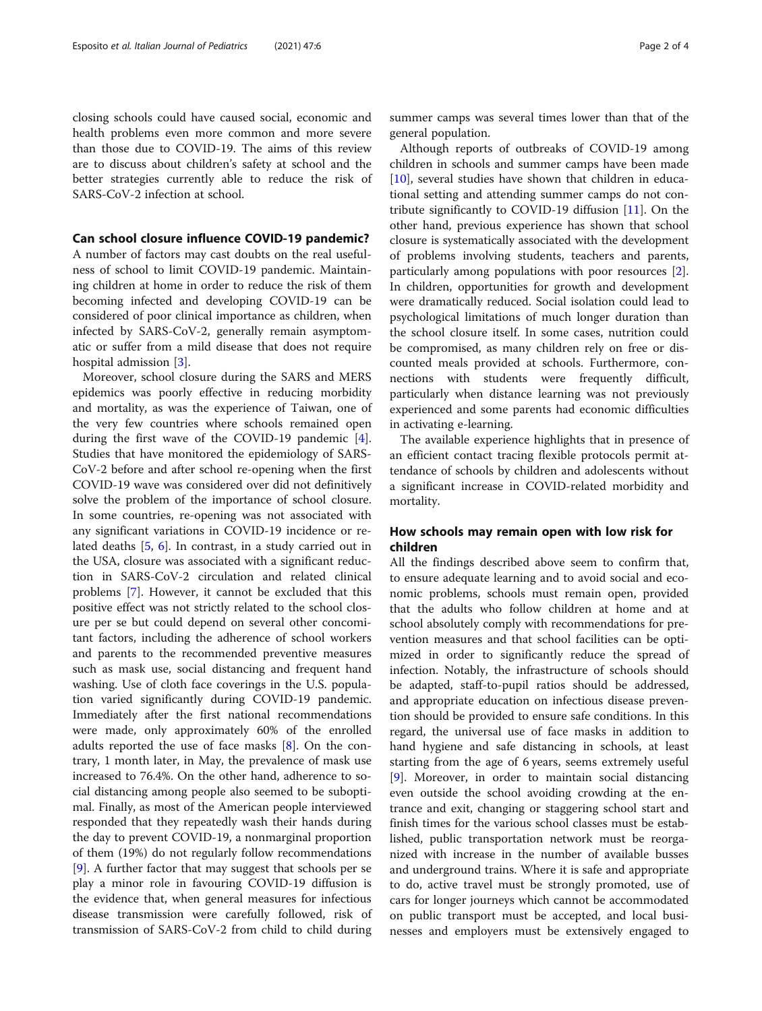closing schools could have caused social, economic and health problems even more common and more severe than those due to COVID-19. The aims of this review are to discuss about children's safety at school and the better strategies currently able to reduce the risk of SARS-CoV-2 infection at school.

### Can school closure influence COVID-19 pandemic?

A number of factors may cast doubts on the real usefulness of school to limit COVID-19 pandemic. Maintaining children at home in order to reduce the risk of them becoming infected and developing COVID-19 can be considered of poor clinical importance as children, when infected by SARS-CoV-2, generally remain asymptomatic or suffer from a mild disease that does not require hospital admission [[3\]](#page-3-0).

Moreover, school closure during the SARS and MERS epidemics was poorly effective in reducing morbidity and mortality, as was the experience of Taiwan, one of the very few countries where schools remained open during the first wave of the COVID-19 pandemic [\[4](#page-3-0)]. Studies that have monitored the epidemiology of SARS-CoV-2 before and after school re-opening when the first COVID-19 wave was considered over did not definitively solve the problem of the importance of school closure. In some countries, re-opening was not associated with any significant variations in COVID-19 incidence or related deaths [\[5,](#page-3-0) [6\]](#page-3-0). In contrast, in a study carried out in the USA, closure was associated with a significant reduction in SARS-CoV-2 circulation and related clinical problems [\[7\]](#page-3-0). However, it cannot be excluded that this positive effect was not strictly related to the school closure per se but could depend on several other concomitant factors, including the adherence of school workers and parents to the recommended preventive measures such as mask use, social distancing and frequent hand washing. Use of cloth face coverings in the U.S. population varied significantly during COVID-19 pandemic. Immediately after the first national recommendations were made, only approximately 60% of the enrolled adults reported the use of face masks [\[8](#page-3-0)]. On the contrary, 1 month later, in May, the prevalence of mask use increased to 76.4%. On the other hand, adherence to social distancing among people also seemed to be suboptimal. Finally, as most of the American people interviewed responded that they repeatedly wash their hands during the day to prevent COVID-19, a nonmarginal proportion of them (19%) do not regularly follow recommendations [[9\]](#page-3-0). A further factor that may suggest that schools per se play a minor role in favouring COVID-19 diffusion is the evidence that, when general measures for infectious disease transmission were carefully followed, risk of transmission of SARS-CoV-2 from child to child during summer camps was several times lower than that of the general population.

Although reports of outbreaks of COVID-19 among children in schools and summer camps have been made [[10\]](#page-3-0), several studies have shown that children in educational setting and attending summer camps do not contribute significantly to COVID-19 diffusion [\[11](#page-3-0)]. On the other hand, previous experience has shown that school closure is systematically associated with the development of problems involving students, teachers and parents, particularly among populations with poor resources [\[2](#page-3-0)]. In children, opportunities for growth and development were dramatically reduced. Social isolation could lead to psychological limitations of much longer duration than the school closure itself. In some cases, nutrition could be compromised, as many children rely on free or discounted meals provided at schools. Furthermore, connections with students were frequently difficult, particularly when distance learning was not previously experienced and some parents had economic difficulties in activating e-learning.

The available experience highlights that in presence of an efficient contact tracing flexible protocols permit attendance of schools by children and adolescents without a significant increase in COVID-related morbidity and mortality.

## How schools may remain open with low risk for children

All the findings described above seem to confirm that, to ensure adequate learning and to avoid social and economic problems, schools must remain open, provided that the adults who follow children at home and at school absolutely comply with recommendations for prevention measures and that school facilities can be optimized in order to significantly reduce the spread of infection. Notably, the infrastructure of schools should be adapted, staff-to-pupil ratios should be addressed, and appropriate education on infectious disease prevention should be provided to ensure safe conditions. In this regard, the universal use of face masks in addition to hand hygiene and safe distancing in schools, at least starting from the age of 6 years, seems extremely useful [[9\]](#page-3-0). Moreover, in order to maintain social distancing even outside the school avoiding crowding at the entrance and exit, changing or staggering school start and finish times for the various school classes must be established, public transportation network must be reorganized with increase in the number of available busses and underground trains. Where it is safe and appropriate to do, active travel must be strongly promoted, use of cars for longer journeys which cannot be accommodated on public transport must be accepted, and local businesses and employers must be extensively engaged to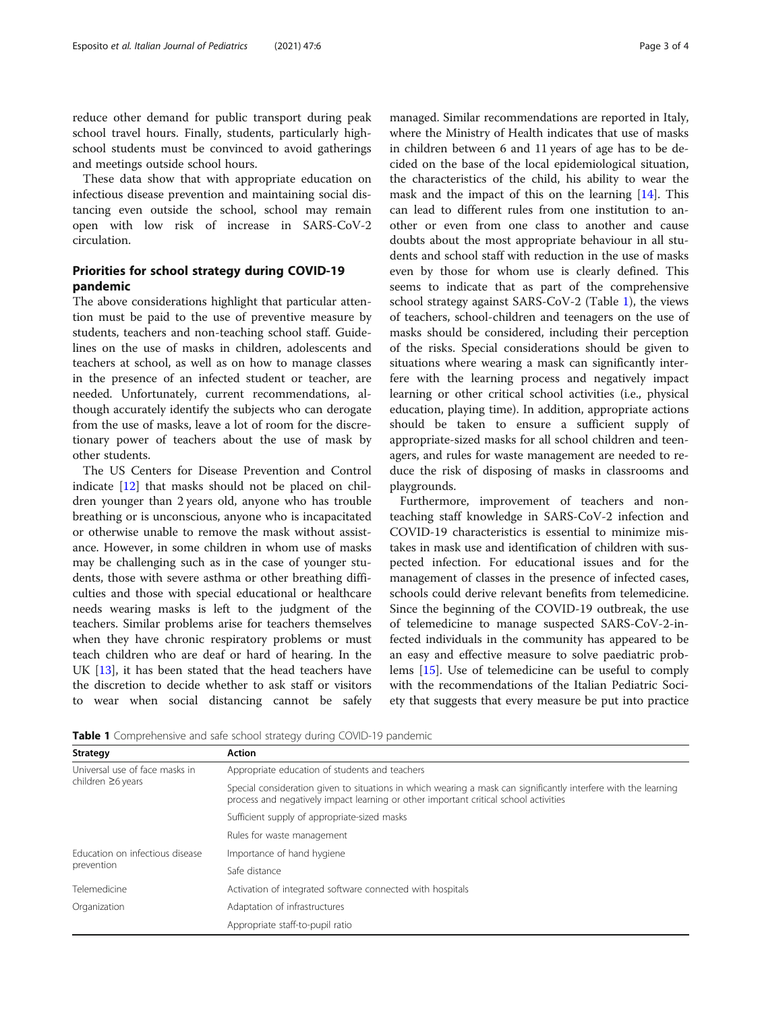reduce other demand for public transport during peak school travel hours. Finally, students, particularly highschool students must be convinced to avoid gatherings and meetings outside school hours.

These data show that with appropriate education on infectious disease prevention and maintaining social distancing even outside the school, school may remain open with low risk of increase in SARS-CoV-2 circulation.

## Priorities for school strategy during COVID-19 pandemic

The above considerations highlight that particular attention must be paid to the use of preventive measure by students, teachers and non-teaching school staff. Guidelines on the use of masks in children, adolescents and teachers at school, as well as on how to manage classes in the presence of an infected student or teacher, are needed. Unfortunately, current recommendations, although accurately identify the subjects who can derogate from the use of masks, leave a lot of room for the discretionary power of teachers about the use of mask by other students.

The US Centers for Disease Prevention and Control indicate [\[12](#page-3-0)] that masks should not be placed on children younger than 2 years old, anyone who has trouble breathing or is unconscious, anyone who is incapacitated or otherwise unable to remove the mask without assistance. However, in some children in whom use of masks may be challenging such as in the case of younger students, those with severe asthma or other breathing difficulties and those with special educational or healthcare needs wearing masks is left to the judgment of the teachers. Similar problems arise for teachers themselves when they have chronic respiratory problems or must teach children who are deaf or hard of hearing. In the UK [\[13](#page-3-0)], it has been stated that the head teachers have the discretion to decide whether to ask staff or visitors to wear when social distancing cannot be safely managed. Similar recommendations are reported in Italy, where the Ministry of Health indicates that use of masks in children between 6 and 11 years of age has to be decided on the base of the local epidemiological situation, the characteristics of the child, his ability to wear the mask and the impact of this on the learning [\[14\]](#page-3-0). This can lead to different rules from one institution to another or even from one class to another and cause doubts about the most appropriate behaviour in all students and school staff with reduction in the use of masks even by those for whom use is clearly defined. This seems to indicate that as part of the comprehensive school strategy against SARS-CoV-2 (Table 1), the views of teachers, school-children and teenagers on the use of masks should be considered, including their perception of the risks. Special considerations should be given to situations where wearing a mask can significantly interfere with the learning process and negatively impact learning or other critical school activities (i.e., physical education, playing time). In addition, appropriate actions should be taken to ensure a sufficient supply of appropriate-sized masks for all school children and teenagers, and rules for waste management are needed to reduce the risk of disposing of masks in classrooms and playgrounds.

Furthermore, improvement of teachers and nonteaching staff knowledge in SARS-CoV-2 infection and COVID-19 characteristics is essential to minimize mistakes in mask use and identification of children with suspected infection. For educational issues and for the management of classes in the presence of infected cases, schools could derive relevant benefits from telemedicine. Since the beginning of the COVID-19 outbreak, the use of telemedicine to manage suspected SARS-CoV-2-infected individuals in the community has appeared to be an easy and effective measure to solve paediatric problems [[15\]](#page-3-0). Use of telemedicine can be useful to comply with the recommendations of the Italian Pediatric Society that suggests that every measure be put into practice

| Strategy                                                  | <b>Action</b>                                                                                                                                                                                           |
|-----------------------------------------------------------|---------------------------------------------------------------------------------------------------------------------------------------------------------------------------------------------------------|
| Universal use of face masks in<br>children $\geq$ 6 years | Appropriate education of students and teachers                                                                                                                                                          |
|                                                           | Special consideration given to situations in which wearing a mask can significantly interfere with the learning<br>process and negatively impact learning or other important critical school activities |
|                                                           | Sufficient supply of appropriate-sized masks                                                                                                                                                            |
|                                                           | Rules for waste management                                                                                                                                                                              |
| Education on infectious disease<br>prevention             | Importance of hand hygiene                                                                                                                                                                              |
|                                                           | Safe distance                                                                                                                                                                                           |
| Telemedicine                                              | Activation of integrated software connected with hospitals                                                                                                                                              |
| Organization                                              | Adaptation of infrastructures                                                                                                                                                                           |
|                                                           | Appropriate staff-to-pupil ratio                                                                                                                                                                        |

Table 1 Comprehensive and safe school strategy during COVID-19 pandemic